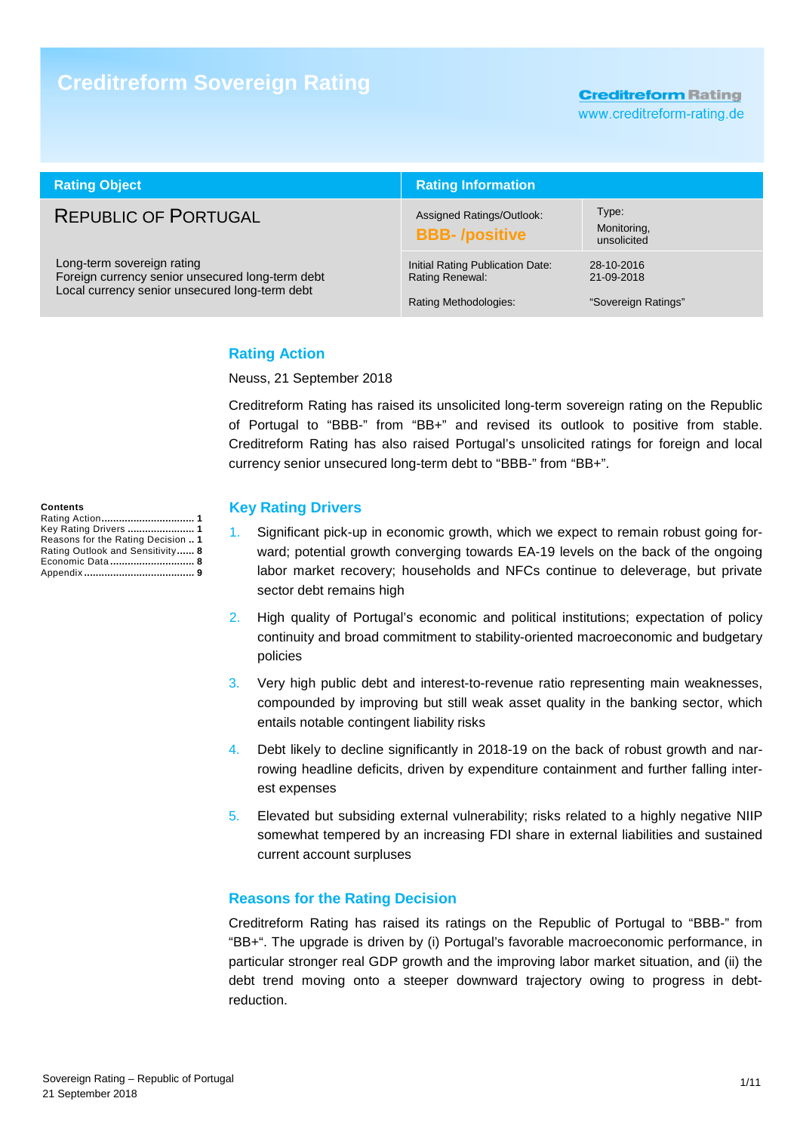# **Creditreform Sovereign Rating**

**Creditreform Rating** 

www.creditreform-rating.de

| <b>Rating Object</b>                                                                                                             | <b>Rating Information</b>                                                    |                                                 |
|----------------------------------------------------------------------------------------------------------------------------------|------------------------------------------------------------------------------|-------------------------------------------------|
| <b>REPUBLIC OF PORTUGAL</b>                                                                                                      | Assigned Ratings/Outlook:<br><b>BBB-/positive</b>                            | Type:<br>Monitoring,<br>unsolicited             |
| Long-term sovereign rating<br>Foreign currency senior unsecured long-term debt<br>Local currency senior unsecured long-term debt | Initial Rating Publication Date:<br>Rating Renewal:<br>Rating Methodologies: | 28-10-2016<br>21-09-2018<br>"Sovereign Ratings" |

## **Rating Action**

Neuss, 21 September 2018

Creditreform Rating has raised its unsolicited long-term sovereign rating on the Republic of Portugal to "BBB-" from "BB+" and revised its outlook to positive from stable. Creditreform Rating has also raised Portugal's unsolicited ratings for foreign and local currency senior unsecured long-term debt to "BBB-" from "BB+".

## **Key Rating Drivers**

- 1. Significant pick-up in economic growth, which we expect to remain robust going forward; potential growth converging towards EA-19 levels on the back of the ongoing labor market recovery; households and NFCs continue to deleverage, but private sector debt remains high
- 2. High quality of Portugal's economic and political institutions; expectation of policy continuity and broad commitment to stability-oriented macroeconomic and budgetary policies
- 3. Very high public debt and interest-to-revenue ratio representing main weaknesses, compounded by improving but still weak asset quality in the banking sector, which entails notable contingent liability risks
- 4. Debt likely to decline significantly in 2018-19 on the back of robust growth and narrowing headline deficits, driven by expenditure containment and further falling interest expenses
- 5. Elevated but subsiding external vulnerability; risks related to a highly negative NIIP somewhat tempered by an increasing FDI share in external liabilities and sustained current account surpluses

## **Reasons for the Rating Decision**

Creditreform Rating has raised its ratings on the Republic of Portugal to "BBB-" from "BB+". The upgrade is driven by (i) Portugal's favorable macroeconomic performance, in particular stronger real GDP growth and the improving labor market situation, and (ii) the debt trend moving onto a steeper downward trajectory owing to progress in debtreduction.

| <b>Contents</b>                    |  |
|------------------------------------|--|
|                                    |  |
| Key Rating Drivers  1              |  |
| Reasons for the Rating Decision  1 |  |
| Rating Outlook and Sensitivity 8   |  |
| Economic Data 8                    |  |
|                                    |  |
|                                    |  |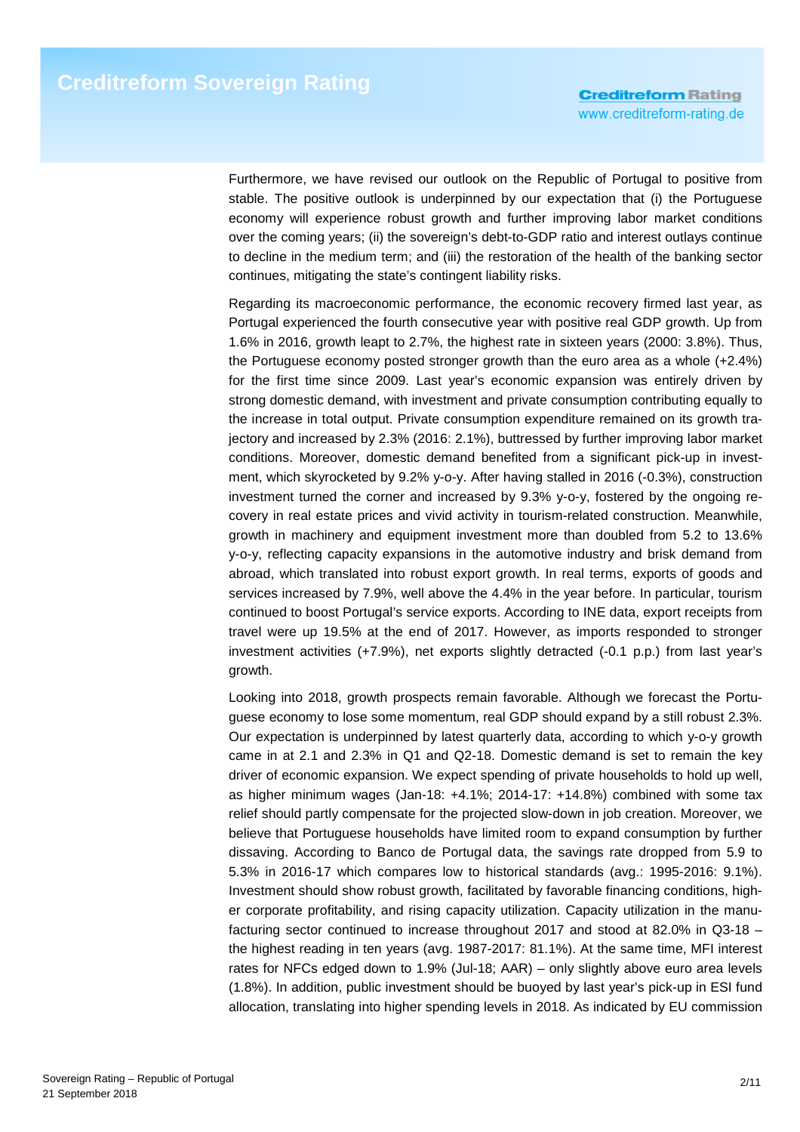Furthermore, we have revised our outlook on the Republic of Portugal to positive from stable. The positive outlook is underpinned by our expectation that (i) the Portuguese economy will experience robust growth and further improving labor market conditions over the coming years; (ii) the sovereign's debt-to-GDP ratio and interest outlays continue to decline in the medium term; and (iii) the restoration of the health of the banking sector continues, mitigating the state's contingent liability risks.

Regarding its macroeconomic performance, the economic recovery firmed last year, as Portugal experienced the fourth consecutive year with positive real GDP growth. Up from 1.6% in 2016, growth leapt to 2.7%, the highest rate in sixteen years (2000: 3.8%). Thus, the Portuguese economy posted stronger growth than the euro area as a whole (+2.4%) for the first time since 2009. Last year's economic expansion was entirely driven by strong domestic demand, with investment and private consumption contributing equally to the increase in total output. Private consumption expenditure remained on its growth trajectory and increased by 2.3% (2016: 2.1%), buttressed by further improving labor market conditions. Moreover, domestic demand benefited from a significant pick-up in investment, which skyrocketed by 9.2% y-o-y. After having stalled in 2016 (-0.3%), construction investment turned the corner and increased by 9.3% y-o-y, fostered by the ongoing recovery in real estate prices and vivid activity in tourism-related construction. Meanwhile, growth in machinery and equipment investment more than doubled from 5.2 to 13.6% y-o-y, reflecting capacity expansions in the automotive industry and brisk demand from abroad, which translated into robust export growth. In real terms, exports of goods and services increased by 7.9%, well above the 4.4% in the year before. In particular, tourism continued to boost Portugal's service exports. According to INE data, export receipts from travel were up 19.5% at the end of 2017. However, as imports responded to stronger investment activities (+7.9%), net exports slightly detracted (-0.1 p.p.) from last year's growth.

Looking into 2018, growth prospects remain favorable. Although we forecast the Portuguese economy to lose some momentum, real GDP should expand by a still robust 2.3%. Our expectation is underpinned by latest quarterly data, according to which y-o-y growth came in at 2.1 and 2.3% in Q1 and Q2-18. Domestic demand is set to remain the key driver of economic expansion. We expect spending of private households to hold up well, as higher minimum wages (Jan-18: +4.1%; 2014-17: +14.8%) combined with some tax relief should partly compensate for the projected slow-down in job creation. Moreover, we believe that Portuguese households have limited room to expand consumption by further dissaving. According to Banco de Portugal data, the savings rate dropped from 5.9 to 5.3% in 2016-17 which compares low to historical standards (avg.: 1995-2016: 9.1%). Investment should show robust growth, facilitated by favorable financing conditions, higher corporate profitability, and rising capacity utilization. Capacity utilization in the manufacturing sector continued to increase throughout 2017 and stood at 82.0% in Q3-18 – the highest reading in ten years (avg. 1987-2017: 81.1%). At the same time, MFI interest rates for NFCs edged down to 1.9% (Jul-18; AAR) – only slightly above euro area levels (1.8%). In addition, public investment should be buoyed by last year's pick-up in ESI fund allocation, translating into higher spending levels in 2018. As indicated by EU commission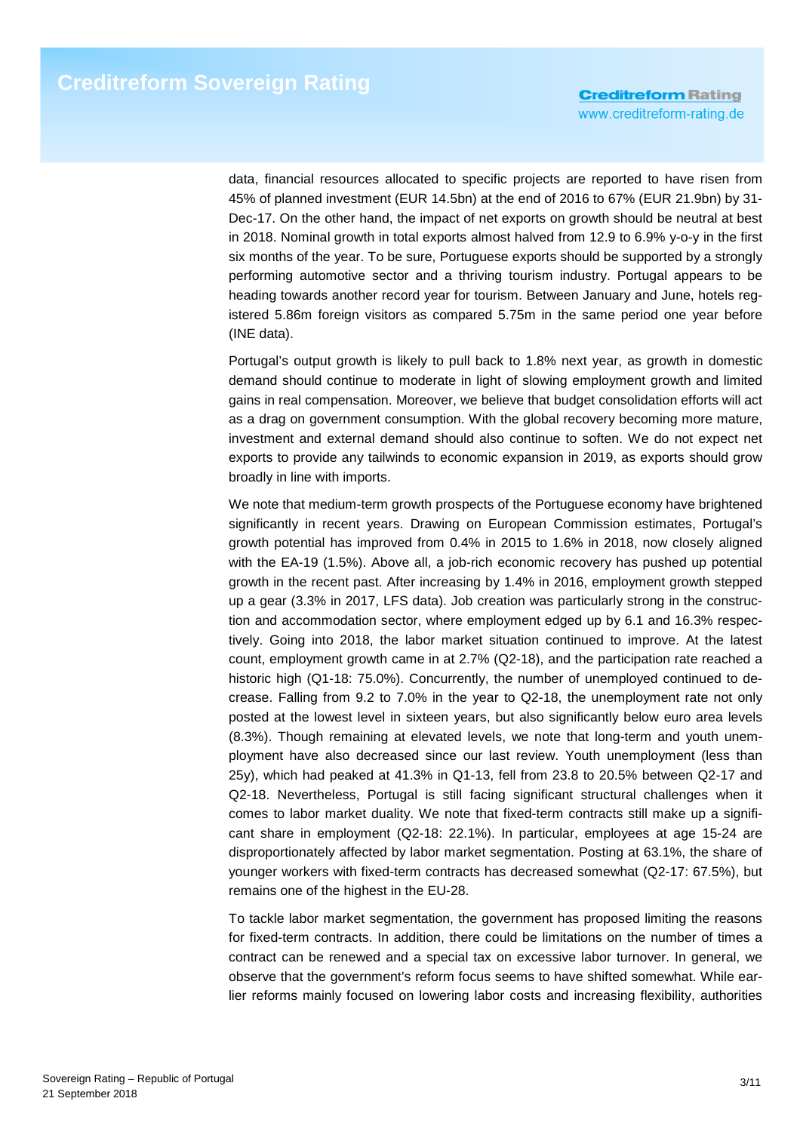data, financial resources allocated to specific projects are reported to have risen from 45% of planned investment (EUR 14.5bn) at the end of 2016 to 67% (EUR 21.9bn) by 31- Dec-17. On the other hand, the impact of net exports on growth should be neutral at best in 2018. Nominal growth in total exports almost halved from 12.9 to 6.9% y-o-y in the first six months of the year. To be sure, Portuguese exports should be supported by a strongly performing automotive sector and a thriving tourism industry. Portugal appears to be heading towards another record year for tourism. Between January and June, hotels registered 5.86m foreign visitors as compared 5.75m in the same period one year before (INE data).

Portugal's output growth is likely to pull back to 1.8% next year, as growth in domestic demand should continue to moderate in light of slowing employment growth and limited gains in real compensation. Moreover, we believe that budget consolidation efforts will act as a drag on government consumption. With the global recovery becoming more mature, investment and external demand should also continue to soften. We do not expect net exports to provide any tailwinds to economic expansion in 2019, as exports should grow broadly in line with imports.

We note that medium-term growth prospects of the Portuguese economy have brightened significantly in recent years. Drawing on European Commission estimates, Portugal's growth potential has improved from 0.4% in 2015 to 1.6% in 2018, now closely aligned with the EA-19 (1.5%). Above all, a job-rich economic recovery has pushed up potential growth in the recent past. After increasing by 1.4% in 2016, employment growth stepped up a gear (3.3% in 2017, LFS data). Job creation was particularly strong in the construction and accommodation sector, where employment edged up by 6.1 and 16.3% respectively. Going into 2018, the labor market situation continued to improve. At the latest count, employment growth came in at 2.7% (Q2-18), and the participation rate reached a historic high (Q1-18: 75.0%). Concurrently, the number of unemployed continued to decrease. Falling from 9.2 to 7.0% in the year to Q2-18, the unemployment rate not only posted at the lowest level in sixteen years, but also significantly below euro area levels (8.3%). Though remaining at elevated levels, we note that long-term and youth unemployment have also decreased since our last review. Youth unemployment (less than 25y), which had peaked at 41.3% in Q1-13, fell from 23.8 to 20.5% between Q2-17 and Q2-18. Nevertheless, Portugal is still facing significant structural challenges when it comes to labor market duality. We note that fixed-term contracts still make up a significant share in employment (Q2-18: 22.1%). In particular, employees at age 15-24 are disproportionately affected by labor market segmentation. Posting at 63.1%, the share of younger workers with fixed-term contracts has decreased somewhat (Q2-17: 67.5%), but remains one of the highest in the EU-28.

To tackle labor market segmentation, the government has proposed limiting the reasons for fixed-term contracts. In addition, there could be limitations on the number of times a contract can be renewed and a special tax on excessive labor turnover. In general, we observe that the government's reform focus seems to have shifted somewhat. While earlier reforms mainly focused on lowering labor costs and increasing flexibility, authorities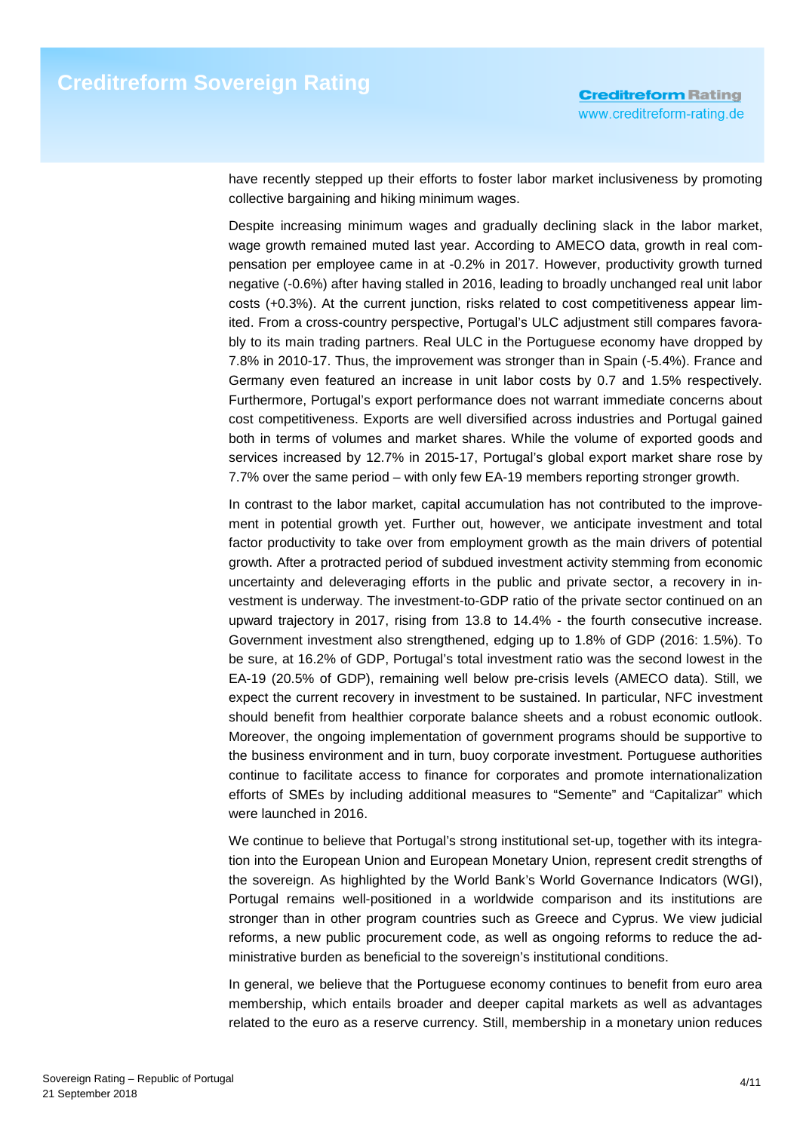have recently stepped up their efforts to foster labor market inclusiveness by promoting collective bargaining and hiking minimum wages.

Despite increasing minimum wages and gradually declining slack in the labor market, wage growth remained muted last year. According to AMECO data, growth in real compensation per employee came in at -0.2% in 2017. However, productivity growth turned negative (-0.6%) after having stalled in 2016, leading to broadly unchanged real unit labor costs (+0.3%). At the current junction, risks related to cost competitiveness appear limited. From a cross-country perspective, Portugal's ULC adjustment still compares favorably to its main trading partners. Real ULC in the Portuguese economy have dropped by 7.8% in 2010-17. Thus, the improvement was stronger than in Spain (-5.4%). France and Germany even featured an increase in unit labor costs by 0.7 and 1.5% respectively. Furthermore, Portugal's export performance does not warrant immediate concerns about cost competitiveness. Exports are well diversified across industries and Portugal gained both in terms of volumes and market shares. While the volume of exported goods and services increased by 12.7% in 2015-17, Portugal's global export market share rose by 7.7% over the same period – with only few EA-19 members reporting stronger growth.

In contrast to the labor market, capital accumulation has not contributed to the improvement in potential growth yet. Further out, however, we anticipate investment and total factor productivity to take over from employment growth as the main drivers of potential growth. After a protracted period of subdued investment activity stemming from economic uncertainty and deleveraging efforts in the public and private sector, a recovery in investment is underway. The investment-to-GDP ratio of the private sector continued on an upward trajectory in 2017, rising from 13.8 to 14.4% - the fourth consecutive increase. Government investment also strengthened, edging up to 1.8% of GDP (2016: 1.5%). To be sure, at 16.2% of GDP, Portugal's total investment ratio was the second lowest in the EA-19 (20.5% of GDP), remaining well below pre-crisis levels (AMECO data). Still, we expect the current recovery in investment to be sustained. In particular, NFC investment should benefit from healthier corporate balance sheets and a robust economic outlook. Moreover, the ongoing implementation of government programs should be supportive to the business environment and in turn, buoy corporate investment. Portuguese authorities continue to facilitate access to finance for corporates and promote internationalization efforts of SMEs by including additional measures to "Semente" and "Capitalizar" which were launched in 2016.

We continue to believe that Portugal's strong institutional set-up, together with its integration into the European Union and European Monetary Union, represent credit strengths of the sovereign. As highlighted by the World Bank's World Governance Indicators (WGI), Portugal remains well-positioned in a worldwide comparison and its institutions are stronger than in other program countries such as Greece and Cyprus. We view judicial reforms, a new public procurement code, as well as ongoing reforms to reduce the administrative burden as beneficial to the sovereign's institutional conditions.

In general, we believe that the Portuguese economy continues to benefit from euro area membership, which entails broader and deeper capital markets as well as advantages related to the euro as a reserve currency. Still, membership in a monetary union reduces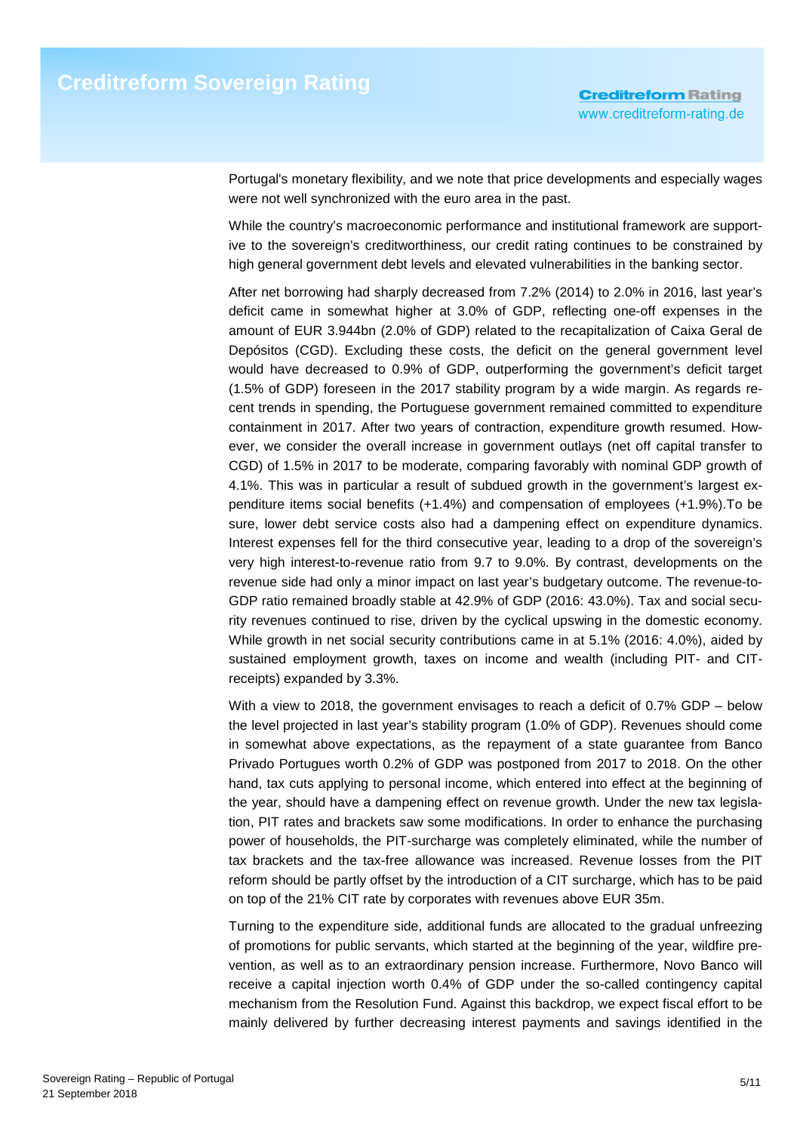Portugal's monetary flexibility, and we note that price developments and especially wages were not well synchronized with the euro area in the past.

While the country's macroeconomic performance and institutional framework are supportive to the sovereign's creditworthiness, our credit rating continues to be constrained by high general government debt levels and elevated vulnerabilities in the banking sector.

After net borrowing had sharply decreased from 7.2% (2014) to 2.0% in 2016, last year's deficit came in somewhat higher at 3.0% of GDP, reflecting one-off expenses in the amount of EUR 3.944bn (2.0% of GDP) related to the recapitalization of Caixa Geral de Depósitos (CGD). Excluding these costs, the deficit on the general government level would have decreased to 0.9% of GDP, outperforming the government's deficit target (1.5% of GDP) foreseen in the 2017 stability program by a wide margin. As regards recent trends in spending, the Portuguese government remained committed to expenditure containment in 2017. After two years of contraction, expenditure growth resumed. However, we consider the overall increase in government outlays (net off capital transfer to CGD) of 1.5% in 2017 to be moderate, comparing favorably with nominal GDP growth of 4.1%. This was in particular a result of subdued growth in the government's largest expenditure items social benefits (+1.4%) and compensation of employees (+1.9%).To be sure, lower debt service costs also had a dampening effect on expenditure dynamics. Interest expenses fell for the third consecutive year, leading to a drop of the sovereign's very high interest-to-revenue ratio from 9.7 to 9.0%. By contrast, developments on the revenue side had only a minor impact on last year's budgetary outcome. The revenue-to-GDP ratio remained broadly stable at 42.9% of GDP (2016: 43.0%). Tax and social security revenues continued to rise, driven by the cyclical upswing in the domestic economy. While growth in net social security contributions came in at 5.1% (2016: 4.0%), aided by sustained employment growth, taxes on income and wealth (including PIT- and CITreceipts) expanded by 3.3%.

With a view to 2018, the government envisages to reach a deficit of 0.7% GDP – below the level projected in last year's stability program (1.0% of GDP). Revenues should come in somewhat above expectations, as the repayment of a state guarantee from Banco Privado Portugues worth 0.2% of GDP was postponed from 2017 to 2018. On the other hand, tax cuts applying to personal income, which entered into effect at the beginning of the year, should have a dampening effect on revenue growth. Under the new tax legislation, PIT rates and brackets saw some modifications. In order to enhance the purchasing power of households, the PIT-surcharge was completely eliminated, while the number of tax brackets and the tax-free allowance was increased. Revenue losses from the PIT reform should be partly offset by the introduction of a CIT surcharge, which has to be paid on top of the 21% CIT rate by corporates with revenues above EUR 35m.

Turning to the expenditure side, additional funds are allocated to the gradual unfreezing of promotions for public servants, which started at the beginning of the year, wildfire prevention, as well as to an extraordinary pension increase. Furthermore, Novo Banco will receive a capital injection worth 0.4% of GDP under the so-called contingency capital mechanism from the Resolution Fund. Against this backdrop, we expect fiscal effort to be mainly delivered by further decreasing interest payments and savings identified in the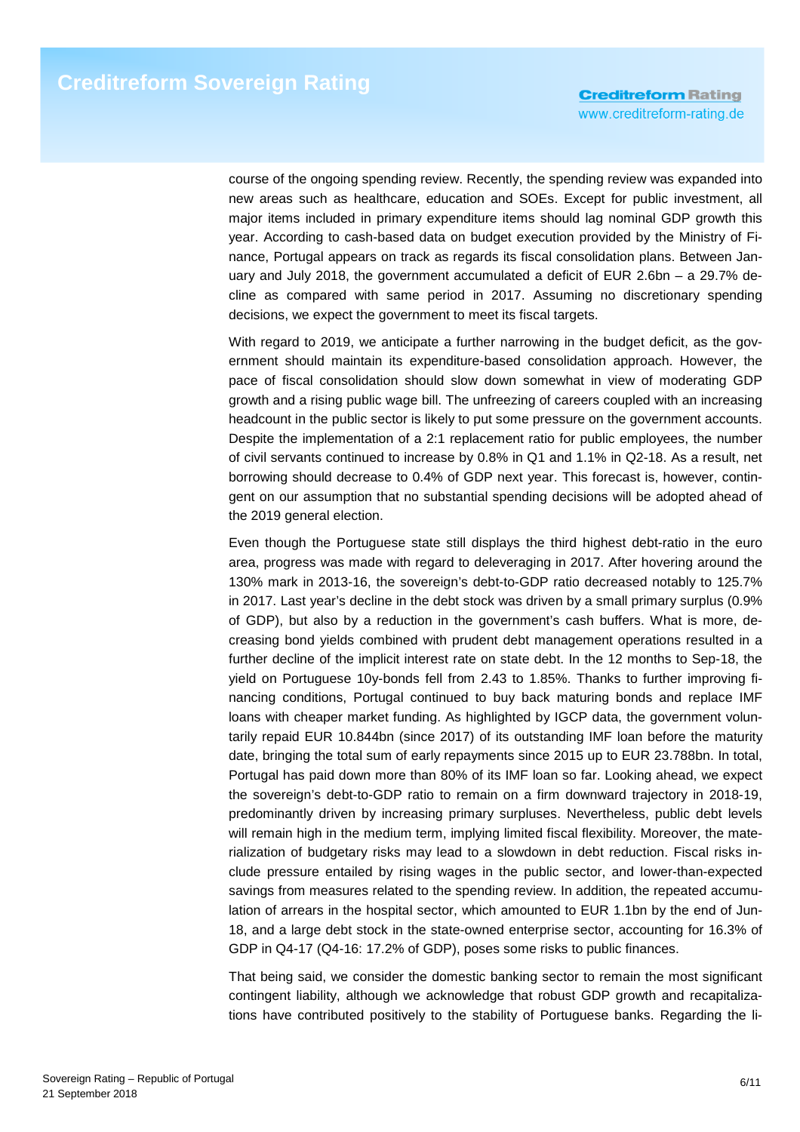course of the ongoing spending review. Recently, the spending review was expanded into new areas such as healthcare, education and SOEs. Except for public investment, all major items included in primary expenditure items should lag nominal GDP growth this year. According to cash-based data on budget execution provided by the Ministry of Finance, Portugal appears on track as regards its fiscal consolidation plans. Between January and July 2018, the government accumulated a deficit of EUR 2.6bn – a 29.7% decline as compared with same period in 2017. Assuming no discretionary spending decisions, we expect the government to meet its fiscal targets.

With regard to 2019, we anticipate a further narrowing in the budget deficit, as the government should maintain its expenditure-based consolidation approach. However, the pace of fiscal consolidation should slow down somewhat in view of moderating GDP growth and a rising public wage bill. The unfreezing of careers coupled with an increasing headcount in the public sector is likely to put some pressure on the government accounts. Despite the implementation of a 2:1 replacement ratio for public employees, the number of civil servants continued to increase by 0.8% in Q1 and 1.1% in Q2-18. As a result, net borrowing should decrease to 0.4% of GDP next year. This forecast is, however, contingent on our assumption that no substantial spending decisions will be adopted ahead of the 2019 general election.

Even though the Portuguese state still displays the third highest debt-ratio in the euro area, progress was made with regard to deleveraging in 2017. After hovering around the 130% mark in 2013-16, the sovereign's debt-to-GDP ratio decreased notably to 125.7% in 2017. Last year's decline in the debt stock was driven by a small primary surplus (0.9% of GDP), but also by a reduction in the government's cash buffers. What is more, decreasing bond yields combined with prudent debt management operations resulted in a further decline of the implicit interest rate on state debt. In the 12 months to Sep-18, the yield on Portuguese 10y-bonds fell from 2.43 to 1.85%. Thanks to further improving financing conditions, Portugal continued to buy back maturing bonds and replace IMF loans with cheaper market funding. As highlighted by IGCP data, the government voluntarily repaid EUR 10.844bn (since 2017) of its outstanding IMF loan before the maturity date, bringing the total sum of early repayments since 2015 up to EUR 23.788bn. In total, Portugal has paid down more than 80% of its IMF loan so far. Looking ahead, we expect the sovereign's debt-to-GDP ratio to remain on a firm downward trajectory in 2018-19, predominantly driven by increasing primary surpluses. Nevertheless, public debt levels will remain high in the medium term, implying limited fiscal flexibility. Moreover, the materialization of budgetary risks may lead to a slowdown in debt reduction. Fiscal risks include pressure entailed by rising wages in the public sector, and lower-than-expected savings from measures related to the spending review. In addition, the repeated accumulation of arrears in the hospital sector, which amounted to EUR 1.1bn by the end of Jun-18, and a large debt stock in the state-owned enterprise sector, accounting for 16.3% of GDP in Q4-17 (Q4-16: 17.2% of GDP), poses some risks to public finances.

That being said, we consider the domestic banking sector to remain the most significant contingent liability, although we acknowledge that robust GDP growth and recapitalizations have contributed positively to the stability of Portuguese banks. Regarding the li-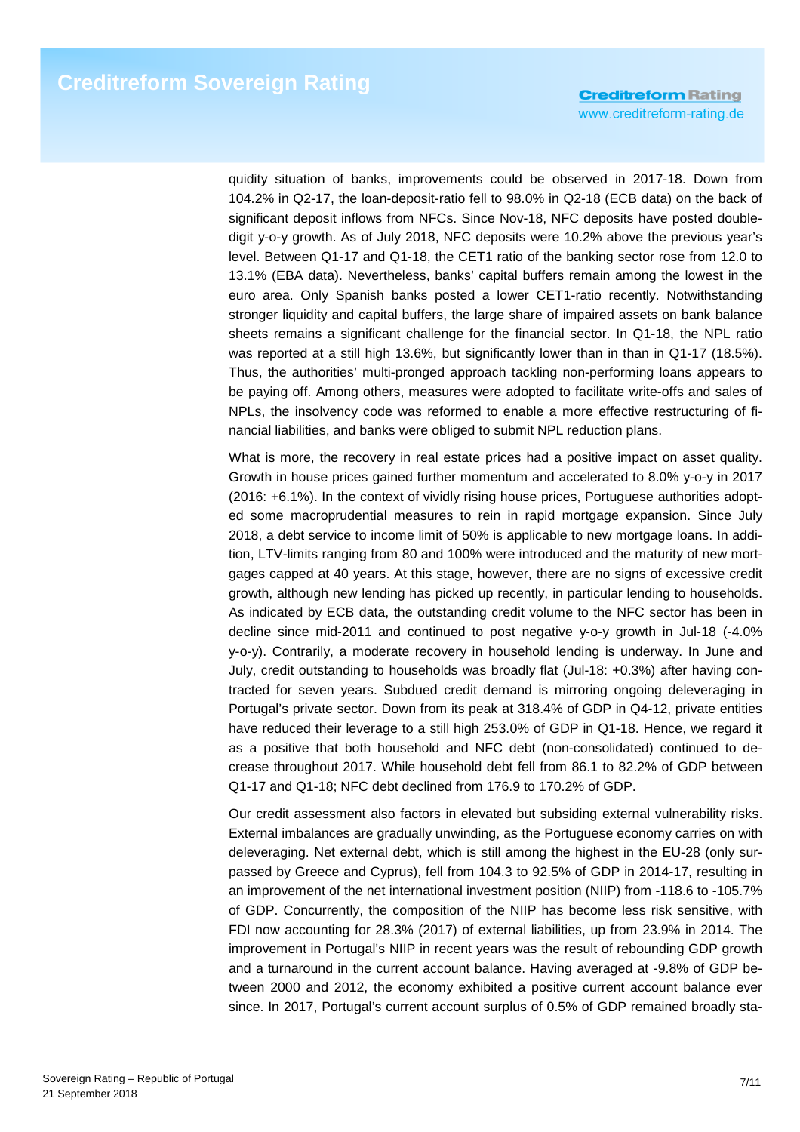quidity situation of banks, improvements could be observed in 2017-18. Down from 104.2% in Q2-17, the loan-deposit-ratio fell to 98.0% in Q2-18 (ECB data) on the back of significant deposit inflows from NFCs. Since Nov-18, NFC deposits have posted doubledigit y-o-y growth. As of July 2018, NFC deposits were 10.2% above the previous year's level. Between Q1-17 and Q1-18, the CET1 ratio of the banking sector rose from 12.0 to 13.1% (EBA data). Nevertheless, banks' capital buffers remain among the lowest in the euro area. Only Spanish banks posted a lower CET1-ratio recently. Notwithstanding stronger liquidity and capital buffers, the large share of impaired assets on bank balance sheets remains a significant challenge for the financial sector. In Q1-18, the NPL ratio was reported at a still high 13.6%, but significantly lower than in than in Q1-17 (18.5%). Thus, the authorities' multi-pronged approach tackling non-performing loans appears to be paying off. Among others, measures were adopted to facilitate write-offs and sales of NPLs, the insolvency code was reformed to enable a more effective restructuring of financial liabilities, and banks were obliged to submit NPL reduction plans.

What is more, the recovery in real estate prices had a positive impact on asset quality. Growth in house prices gained further momentum and accelerated to 8.0% y-o-y in 2017 (2016: +6.1%). In the context of vividly rising house prices, Portuguese authorities adopted some macroprudential measures to rein in rapid mortgage expansion. Since July 2018, a debt service to income limit of 50% is applicable to new mortgage loans. In addition, LTV-limits ranging from 80 and 100% were introduced and the maturity of new mortgages capped at 40 years. At this stage, however, there are no signs of excessive credit growth, although new lending has picked up recently, in particular lending to households. As indicated by ECB data, the outstanding credit volume to the NFC sector has been in decline since mid-2011 and continued to post negative y-o-y growth in Jul-18 (-4.0% y-o-y). Contrarily, a moderate recovery in household lending is underway. In June and July, credit outstanding to households was broadly flat (Jul-18: +0.3%) after having contracted for seven years. Subdued credit demand is mirroring ongoing deleveraging in Portugal's private sector. Down from its peak at 318.4% of GDP in Q4-12, private entities have reduced their leverage to a still high 253.0% of GDP in Q1-18. Hence, we regard it as a positive that both household and NFC debt (non-consolidated) continued to decrease throughout 2017. While household debt fell from 86.1 to 82.2% of GDP between Q1-17 and Q1-18; NFC debt declined from 176.9 to 170.2% of GDP.

Our credit assessment also factors in elevated but subsiding external vulnerability risks. External imbalances are gradually unwinding, as the Portuguese economy carries on with deleveraging. Net external debt, which is still among the highest in the EU-28 (only surpassed by Greece and Cyprus), fell from 104.3 to 92.5% of GDP in 2014-17, resulting in an improvement of the net international investment position (NIIP) from -118.6 to -105.7% of GDP. Concurrently, the composition of the NIIP has become less risk sensitive, with FDI now accounting for 28.3% (2017) of external liabilities, up from 23.9% in 2014. The improvement in Portugal's NIIP in recent years was the result of rebounding GDP growth and a turnaround in the current account balance. Having averaged at -9.8% of GDP between 2000 and 2012, the economy exhibited a positive current account balance ever since. In 2017, Portugal's current account surplus of 0.5% of GDP remained broadly sta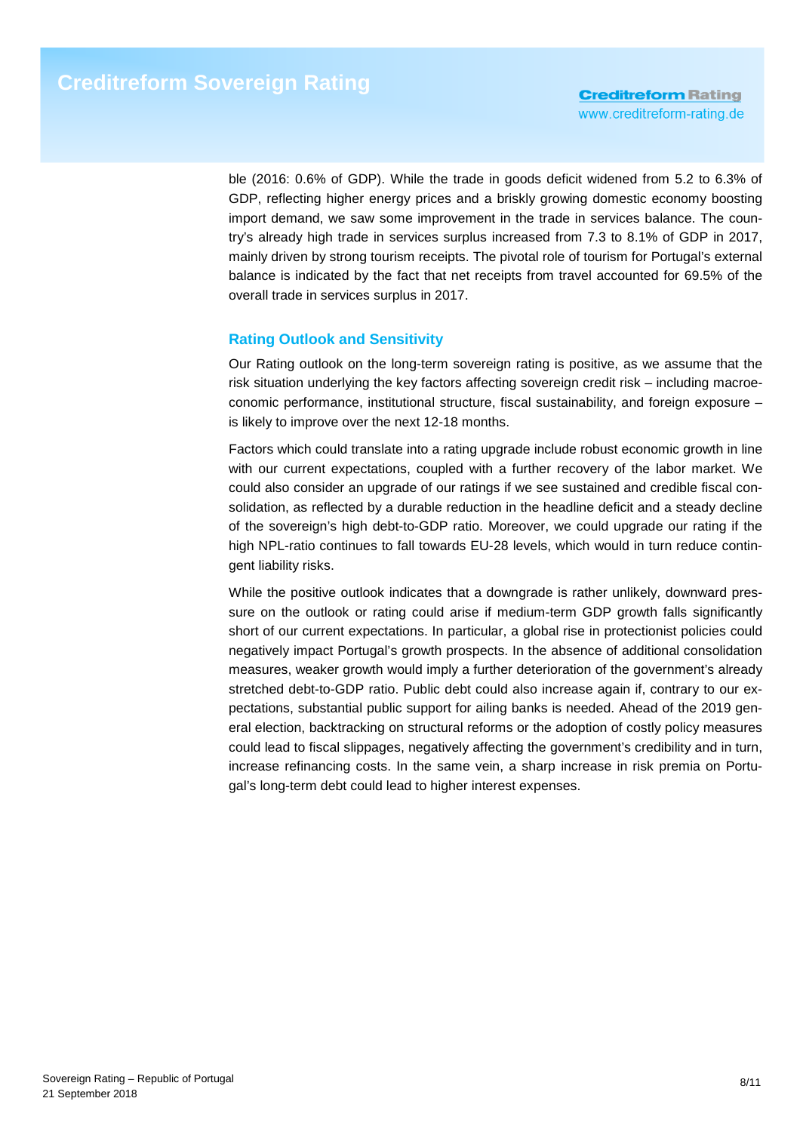ble (2016: 0.6% of GDP). While the trade in goods deficit widened from 5.2 to 6.3% of GDP, reflecting higher energy prices and a briskly growing domestic economy boosting import demand, we saw some improvement in the trade in services balance. The country's already high trade in services surplus increased from 7.3 to 8.1% of GDP in 2017, mainly driven by strong tourism receipts. The pivotal role of tourism for Portugal's external balance is indicated by the fact that net receipts from travel accounted for 69.5% of the overall trade in services surplus in 2017.

## **Rating Outlook and Sensitivity**

Our Rating outlook on the long-term sovereign rating is positive, as we assume that the risk situation underlying the key factors affecting sovereign credit risk – including macroeconomic performance, institutional structure, fiscal sustainability, and foreign exposure – is likely to improve over the next 12-18 months.

Factors which could translate into a rating upgrade include robust economic growth in line with our current expectations, coupled with a further recovery of the labor market. We could also consider an upgrade of our ratings if we see sustained and credible fiscal consolidation, as reflected by a durable reduction in the headline deficit and a steady decline of the sovereign's high debt-to-GDP ratio. Moreover, we could upgrade our rating if the high NPL-ratio continues to fall towards EU-28 levels, which would in turn reduce contingent liability risks.

While the positive outlook indicates that a downgrade is rather unlikely, downward pressure on the outlook or rating could arise if medium-term GDP growth falls significantly short of our current expectations. In particular, a global rise in protectionist policies could negatively impact Portugal's growth prospects. In the absence of additional consolidation measures, weaker growth would imply a further deterioration of the government's already stretched debt-to-GDP ratio. Public debt could also increase again if, contrary to our expectations, substantial public support for ailing banks is needed. Ahead of the 2019 general election, backtracking on structural reforms or the adoption of costly policy measures could lead to fiscal slippages, negatively affecting the government's credibility and in turn, increase refinancing costs. In the same vein, a sharp increase in risk premia on Portugal's long-term debt could lead to higher interest expenses.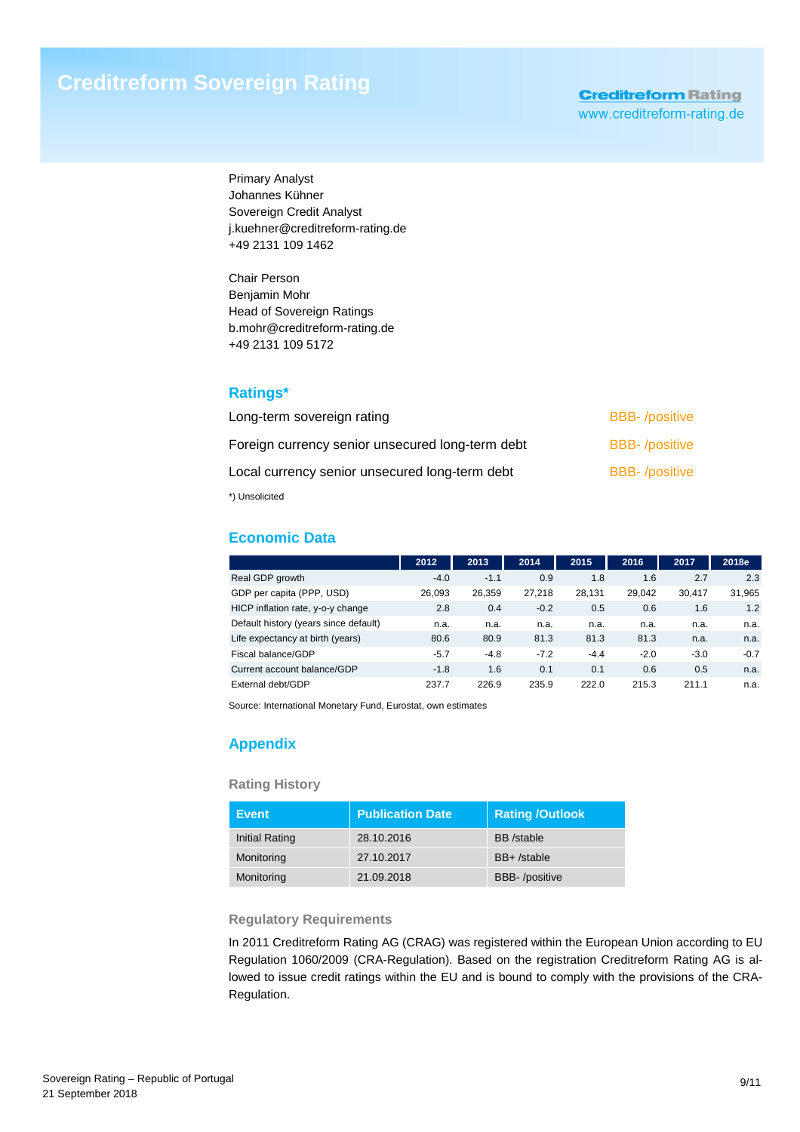Primary Analyst Johannes Kühner Sovereign Credit Analyst j.kuehner@creditreform-rating.de +49 2131 109 1462

Chair Person Benjamin Mohr Head of Sovereign Ratings b.mohr@creditreform-rating.de +49 2131 109 5172

## **Ratings\***

| Long-term sovereign rating                       | <b>BBB-</b> /positive |
|--------------------------------------------------|-----------------------|
| Foreign currency senior unsecured long-term debt | <b>BBB-</b> /positive |
| Local currency senior unsecured long-term debt   | <b>BBB-</b> /positive |
| *) Unsolicited                                   |                       |

## **Economic Data**

|                                       | 2012   | 2013   | 2014   | 2015   | 2016   | 2017   | 2018e  |
|---------------------------------------|--------|--------|--------|--------|--------|--------|--------|
| Real GDP growth                       | $-4.0$ | $-1.1$ | 0.9    | 1.8    | 1.6    | 2.7    | 2.3    |
| GDP per capita (PPP, USD)             | 26.093 | 26.359 | 27.218 | 28.131 | 29.042 | 30.417 | 31,965 |
| HICP inflation rate, y-o-y change     | 2.8    | 0.4    | $-0.2$ | 0.5    | 0.6    | 1.6    | 1.2    |
| Default history (years since default) | n.a.   | n.a.   | n.a.   | n.a.   | n.a.   | n.a.   | n.a.   |
| Life expectancy at birth (years)      | 80.6   | 80.9   | 81.3   | 81.3   | 81.3   | n.a.   | n.a.   |
| Fiscal balance/GDP                    | $-5.7$ | $-4.8$ | $-7.2$ | $-4.4$ | $-2.0$ | $-3.0$ | $-0.7$ |
| Current account balance/GDP           | $-1.8$ | 1.6    | 0.1    | 0.1    | 0.6    | 0.5    | n.a.   |
| External debt/GDP                     | 237.7  | 226.9  | 235.9  | 222.0  | 215.3  | 211.1  | n.a.   |

Source: International Monetary Fund, Eurostat, own estimates

## **Appendix**

#### **Rating History**

| Event                 | <b>Publication Date</b> | <b>Rating /Outlook</b> |
|-----------------------|-------------------------|------------------------|
| <b>Initial Rating</b> | 28.10.2016              | <b>BB</b> /stable      |
| Monitoring            | 27.10.2017              | $BB+$ /stable          |
| Monitoring            | 21.09.2018              | <b>BBB-</b> /positive  |

#### **Regulatory Requirements**

In 2011 Creditreform Rating AG (CRAG) was registered within the European Union according to EU Regulation 1060/2009 (CRA-Regulation). Based on the registration Creditreform Rating AG is allowed to issue credit ratings within the EU and is bound to comply with the provisions of the CRA-Regulation.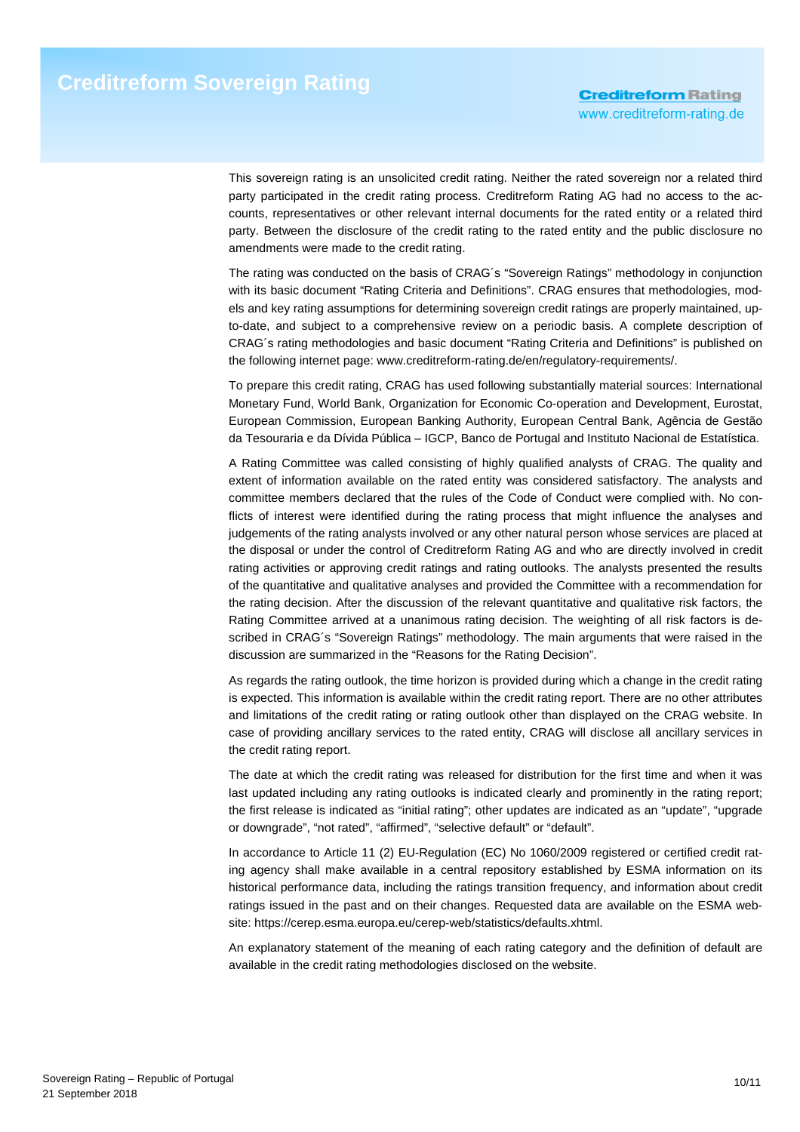This sovereign rating is an unsolicited credit rating. Neither the rated sovereign nor a related third party participated in the credit rating process. Creditreform Rating AG had no access to the accounts, representatives or other relevant internal documents for the rated entity or a related third party. Between the disclosure of the credit rating to the rated entity and the public disclosure no amendments were made to the credit rating.

The rating was conducted on the basis of CRAG´s "Sovereign Ratings" methodology in conjunction with its basic document "Rating Criteria and Definitions". CRAG ensures that methodologies, models and key rating assumptions for determining sovereign credit ratings are properly maintained, upto-date, and subject to a comprehensive review on a periodic basis. A complete description of CRAG´s rating methodologies and basic document "Rating Criteria and Definitions" is published on the following internet page: www.creditreform-rating.de/en/regulatory-requirements/.

To prepare this credit rating, CRAG has used following substantially material sources: International Monetary Fund, World Bank, Organization for Economic Co-operation and Development, Eurostat, European Commission, European Banking Authority, European Central Bank, Agência de Gestão da Tesouraria e da Dívida Pública – IGCP, Banco de Portugal and Instituto Nacional de Estatística.

A Rating Committee was called consisting of highly qualified analysts of CRAG. The quality and extent of information available on the rated entity was considered satisfactory. The analysts and committee members declared that the rules of the Code of Conduct were complied with. No conflicts of interest were identified during the rating process that might influence the analyses and judgements of the rating analysts involved or any other natural person whose services are placed at the disposal or under the control of Creditreform Rating AG and who are directly involved in credit rating activities or approving credit ratings and rating outlooks. The analysts presented the results of the quantitative and qualitative analyses and provided the Committee with a recommendation for the rating decision. After the discussion of the relevant quantitative and qualitative risk factors, the Rating Committee arrived at a unanimous rating decision. The weighting of all risk factors is described in CRAG´s "Sovereign Ratings" methodology. The main arguments that were raised in the discussion are summarized in the "Reasons for the Rating Decision".

As regards the rating outlook, the time horizon is provided during which a change in the credit rating is expected. This information is available within the credit rating report. There are no other attributes and limitations of the credit rating or rating outlook other than displayed on the CRAG website. In case of providing ancillary services to the rated entity, CRAG will disclose all ancillary services in the credit rating report.

The date at which the credit rating was released for distribution for the first time and when it was last updated including any rating outlooks is indicated clearly and prominently in the rating report; the first release is indicated as "initial rating"; other updates are indicated as an "update", "upgrade or downgrade", "not rated", "affirmed", "selective default" or "default".

In accordance to Article 11 (2) EU-Regulation (EC) No 1060/2009 registered or certified credit rating agency shall make available in a central repository established by ESMA information on its historical performance data, including the ratings transition frequency, and information about credit ratings issued in the past and on their changes. Requested data are available on the ESMA website: https://cerep.esma.europa.eu/cerep-web/statistics/defaults.xhtml.

An explanatory statement of the meaning of each rating category and the definition of default are available in the credit rating methodologies disclosed on the website.